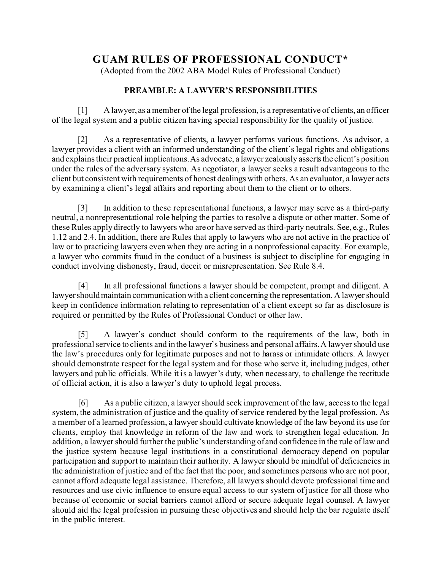# **GUAM RULES OF PROFESSIONAL CONDUCT\***

(Adopted from the 2002 ABA Model Rules of Professional Conduct)

# **PREAMBLE: A LAWYER'S RESPONSIBILITIES**

[1] A lawyer, as a member of the legal profession, is a representative of clients, an officer of the legal system and a public citizen having special responsibility for the quality of justice.

[2] As a representative of clients, a lawyer performs various functions. As advisor, a lawyer provides a client with an informed understanding of the client's legal rights and obligations and explains their practical implications. As advocate, a lawyer zealously asserts the client's position under the rules of the adversary system. As negotiator, a lawyer seeks a result advantageous to the client but consistent with requirements of honest dealings with others. As an evaluator, a lawyer acts by examining a client's legal affairs and reporting about them to the client or to others.

[3] In addition to these representational functions, a lawyer may serve as a third-party neutral, a nonrepresentational role helping the parties to resolve a dispute or other matter. Some of these Rules apply directly to lawyers who are or have served as third-party neutrals. See, e.g., Rules 1.12 and 2.4. In addition, there are Rules that apply to lawyers who are not active in the practice of law or to practicing lawyers even when they are acting in a nonprofessional capacity. For example, a lawyer who commits fraud in the conduct of a business is subject to discipline for engaging in conduct involving dishonesty, fraud, deceit or misrepresentation. See Rule 8.4.

[4] In all professional functions a lawyer should be competent, prompt and diligent. A lawyer should maintain communication with a client concerning the representation. A lawyer should keep in confidence information relating to representation of a client except so far as disclosure is required or permitted by the Rules of Professional Conduct or other law.

[5] A lawyer's conduct should conform to the requirements of the law, both in professional service to clients and in the lawyer's business and personal affairs. A lawyer should use the law's procedures only for legitimate purposes and not to harass or intimidate others. A lawyer should demonstrate respect for the legal system and for those who serve it, including judges, other lawyers and public officials. While it is a lawyer's duty, when necessary, to challenge the rectitude of official action, it is also a lawyer's duty to uphold legal process.

[6] As a public citizen, a lawyer should seek improvement of the law, access to the legal system, the administration of justice and the quality of service rendered by the legal profession. As a member of a learned profession, a lawyer should cultivate knowledge of the law beyond its use for clients, employ that knowledge in reform of the law and work to strengthen legal education. Jn addition, a lawyer should further the public's understanding of and confidence in the rule of law and the justice system because legal institutions in a constitutional democracy depend on popular participation and support to maintain their authority. A lawyer should be mindful of deficiencies in the administration of justice and of the fact that the poor, and sometimes persons who are not poor, cannot afford adequate legal assistance. Therefore, all lawyers should devote professional time and resources and use civic influence to ensure equal access to our system of justice for all those who because of economic or social barriers cannot afford or secure adequate legal counsel. A lawyer should aid the legal profession in pursuing these objectives and should help the bar regulate itself in the public interest.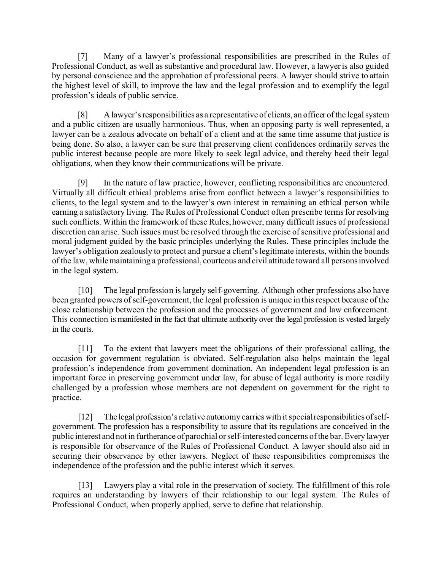[7] Many of a lawyer's professional responsibilities are prescribed in the Rules of Professional Conduct, as well as substantive and procedural law. However, a lawyer is also guided by personal conscience and the approbation of professional peers. A lawyer should strive to attain the highest level of skill, to improve the law and the legal profession and to exemplify the legal profession's ideals of public service.

[8] A lawyer's responsibilities as a representative of clients, an officer of the legal system and a public citizen are usually harmonious. Thus, when an opposing party is well represented, a lawyer can be a zealous advocate on behalf of a client and at the same time assume that justice is being done. So also, a lawyer can be sure that preserving client confidences ordinarily serves the public interest because people are more likely to seek legal advice, and thereby heed their legal obligations, when they know their communications will be private.

[9] In the nature of law practice, however, conflicting responsibilities are encountered. Virtually all difficult ethical problems arise from conflict between a lawyer's responsibilities to clients, to the legal system and to the lawyer's own interest in remaining an ethical person while earning a satisfactory living. The Rules of Professional Conduct often prescribe terms for resolving such conflicts. Within the framework of these Rules, however, many difficult issues of professional discretion can arise. Such issues must be resolved through the exercise of sensitive professional and moral judgment guided by the basic principles underlying the Rules. These principles include the lawyer's obligation zealously to protect and pursue a client's legitimate interests, within the bounds of the law, while maintaining a professional, courteous and civil attitude toward all persons involved in the legal system.

[10] The legal profession is largely self-governing. Although other professions also have been granted powers of self-government, the legal profession is unique in this respect because of the close relationship between the profession and the processes of government and law enforcement. This connection is manifested in the fact that ultimate authority over the legal profession is vested largely in the courts.

[11] To the extent that lawyers meet the obligations of their professional calling, the occasion for government regulation is obviated. Self-regulation also helps maintain the legal profession's independence from government domination. An independent legal profession is an important force in preserving government under law, for abuse of legal authority is more readily challenged by a profession whose members are not dependent on government for the right to practice.

[12] The legal profession's relative autonomy carries with it special responsibilities ofselfgovernment. The profession has a responsibility to assure that its regulations are conceived in the public interest and not in furtherance of parochial or self-interested concerns of the bar. Every lawyer is responsible for observance of the Rules of Professional Conduct. A lawyer should also aid in securing their observance by other lawyers. Neglect of these responsibilities compromises the independence of the profession and the public interest which it serves.

[13] Lawyers play a vital role in the preservation of society. The fulfillment of this role requires an understanding by lawyers of their relationship to our legal system. The Rules of Professional Conduct, when properly applied, serve to define that relationship.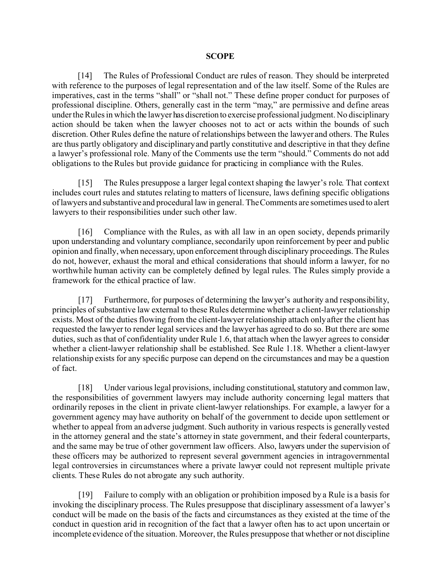#### **SCOPE**

[14] The Rules of Professional Conduct are rules of reason. They should be interpreted with reference to the purposes of legal representation and of the law itself. Some of the Rules are imperatives, cast in the terms "shall" or "shall not." These define proper conduct for purposes of professional discipline. Others, generally cast in the term "may," are permissive and define areas under the Rules in which the lawyer has discretion to exercise professional judgment. No disciplinary action should be taken when the lawyer chooses not to act or acts within the bounds of such discretion. Other Rules define the nature of relationships between the lawyer and others. The Rules are thus partly obligatory and disciplinary and partly constitutive and descriptive in that they define a lawyer's professional role. Many of the Comments use the term "should." Comments do not add obligations to the Rules but provide guidance for practicing in compliance with the Rules.

[15] The Rules presuppose a larger legal context shaping the lawyer's role. That context includes court rules and statutes relating to matters of licensure, laws defining specific obligations of lawyers and substantive and procedural law in general. The Comments are sometimes used to alert lawyers to their responsibilities under such other law.

[16] Compliance with the Rules, as with all law in an open society, depends primarily upon understanding and voluntary compliance, secondarily upon reinforcement by peer and public opinion and finally, when necessary, upon enforcement through disciplinary proceedings. The Rules do not, however, exhaust the moral and ethical considerations that should inform a lawyer, for no worthwhile human activity can be completely defined by legal rules. The Rules simply provide a framework for the ethical practice of law.

[17] Furthermore, for purposes of determining the lawyer's authority and responsibility, principles of substantive law external to these Rules determine whether a client-lawyer relationship exists. Most of the duties flowing from the client-lawyer relationship attach only after the client has requested the lawyer to render legal services and the lawyer has agreed to do so. But there are some duties, such as that of confidentiality under Rule 1.6, that attach when the lawyer agrees to consider whether a client-lawyer relationship shall be established. See Rule 1.18. Whether a client-lawyer relationship exists for any specific purpose can depend on the circumstances and may be a question of fact.

[18] Under various legal provisions, including constitutional, statutory and common law, the responsibilities of government lawyers may include authority concerning legal matters that ordinarily reposes in the client in private client-lawyer relationships. For example, a lawyer for a government agency may have authority on behalf of the government to decide upon settlement or whether to appeal from an adverse judgment. Such authority in various respects is generally vested in the attorney general and the state's attorney in state government, and their federal counterparts, and the same may be true of other government law officers. Also, lawyers under the supervision of these officers may be authorized to represent several government agencies in intragovernmental legal controversies in circumstances where a private lawyer could not represent multiple private clients. These Rules do not abrogate any such authority.

[19] Failure to comply with an obligation or prohibition imposed by a Rule is a basis for invoking the disciplinary process. The Rules presuppose that disciplinary assessment of a lawyer's conduct will be made on the basis of the facts and circumstances as they existed at the time of the conduct in question arid in recognition of the fact that a lawyer often has to act upon uncertain or incomplete evidence of the situation. Moreover, the Rules presuppose that whether or not discipline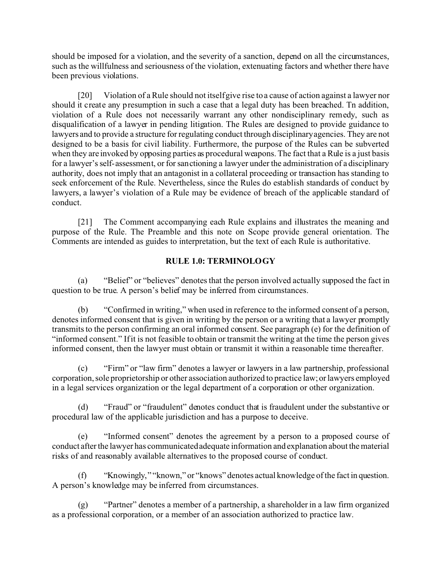should be imposed for a violation, and the severity of a sanction, depend on all the circumstances, such as the willfulness and seriousness of the violation, extenuating factors and whether there have been previous violations.

[20] Violation of a Rule should not itself give rise to a cause of action against a lawyer nor should it create any presumption in such a case that a legal duty has been breached. Tn addition, violation of a Rule does not necessarily warrant any other nondisciplinary remedy, such as disqualification of a lawyer in pending litigation. The Rules are designed to provide guidance to lawyers and to provide a structure for regulating conduct through disciplinary agencies. They are not designed to be a basis for civil liability. Furthermore, the purpose of the Rules can be subverted when they are invoked by opposing parties as procedural weapons. The fact that a Rule is a just basis for a lawyer's self-assessment, or for sanctioning a lawyer under the administration of a disciplinary authority, does not imply that an antagonist in a collateral proceeding or transaction has standing to seek enforcement of the Rule. Nevertheless, since the Rules do establish standards of conduct by lawyers, a lawyer's violation of a Rule may be evidence of breach of the applicable standard of conduct.

[21] The Comment accompanying each Rule explains and illustrates the meaning and purpose of the Rule. The Preamble and this note on Scope provide general orientation. The Comments are intended as guides to interpretation, but the text of each Rule is authoritative.

# **RULE 1.0: TERMINOLOGY**

(a) "Belief" or "believes" denotes that the person involved actually supposed the fact in question to be true. A person's belief may be inferred from circumstances.

(b) "Confirmed in writing," when used in reference to the informed consent of a person, denotes informed consent that is given in writing by the person or a writing that a lawyer promptly transmits to the person confirming an oral informed consent. See paragraph (e) for the definition of "informed consent." If it is not feasible to obtain or transmit the writing at the time the person gives informed consent, then the lawyer must obtain or transmit it within a reasonable time thereafter.

(c) "Firm" or "law firm" denotes a lawyer or lawyers in a law partnership, professional corporation, sole proprietorship or other association authorized to practice law; or lawyers employed in a legal services organization or the legal department of a corporation or other organization.

(d) "Fraud" or "fraudulent" denotes conduct that is fraudulent under the substantive or procedural law of the applicable jurisdiction and has a purpose to deceive.

(e) "Informed consent" denotes the agreement by a person to a proposed course of conduct after the lawyer has communicated adequate information and explanation about the material risks of and reasonably available alternatives to the proposed course of conduct.

(f) "Knowingly," "known," or "knows" denotes actual knowledge of the fact in question. A person's knowledge may be inferred from circumstances.

(g) "Partner" denotes a member of a partnership, a shareholder in a law firm organized as a professional corporation, or a member of an association authorized to practice law.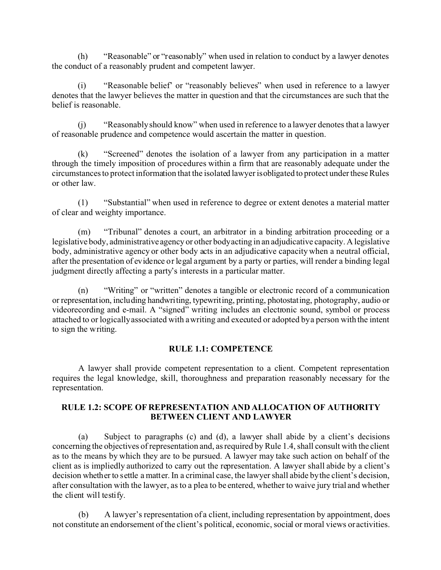(h) "Reasonable" or "reasonably" when used in relation to conduct by a lawyer denotes the conduct of a reasonably prudent and competent lawyer.

(i) "Reasonable belief' or "reasonably believes" when used in reference to a lawyer denotes that the lawyer believes the matter in question and that the circumstances are such that the belief is reasonable.

(j) "Reasonably should know" when used in reference to a lawyer denotes that a lawyer of reasonable prudence and competence would ascertain the matter in question.

(k) "Screened" denotes the isolation of a lawyer from any participation in a matter through the timely imposition of procedures within a firm that are reasonably adequate under the circumstances to protect information that the isolated lawyer is obligated to protect under these Rules or other law.

(1) "Substantial" when used in reference to degree or extent denotes a material matter of clear and weighty importance.

(m) "Tribunal" denotes a court, an arbitrator in a binding arbitration proceeding or a legislative body, administrative agency or other body acting in an adjudicative capacity. A legislative body, administrative agency or other body acts in an adjudicative capacity when a neutral official, after the presentation of evidence or legal argument by a party or parties, will render a binding legal judgment directly affecting a party's interests in a particular matter.

(n) "Writing" or "written" denotes a tangible or electronic record of a communication or representation, including handwriting, typewriting, printing, photostating, photography, audio or videorecording and e-mail. A "signed" writing includes an electronic sound, symbol or process attached to or logically associated with a writing and executed or adopted by a person with the intent to sign the writing.

#### **RULE 1.1: COMPETENCE**

A lawyer shall provide competent representation to a client. Competent representation requires the legal knowledge, skill, thoroughness and preparation reasonably necessary for the representation.

### **RULE 1.2: SCOPE OF REPRESENTATION AND ALLOCATION OF AUTHORITY BETWEEN CLIENT AND LAWYER**

(a) Subject to paragraphs (c) and (d), a lawyer shall abide by a client's decisions concerning the objectives of representation and, as required by Rule 1.4, shall consult with the client as to the means by which they are to be pursued. A lawyer may take such action on behalf of the client as is impliedly authorized to carry out the representation. A lawyer shall abide by a client's decision whether to settle a matter. In a criminal case, the lawyer shall abide by the client's decision, after consultation with the lawyer, as to a plea to be entered, whether to waive jury trial and whether the client will testify.

(b) A lawyer's representation of a client, including representation by appointment, does not constitute an endorsement of the client's political, economic, social or moral views or activities.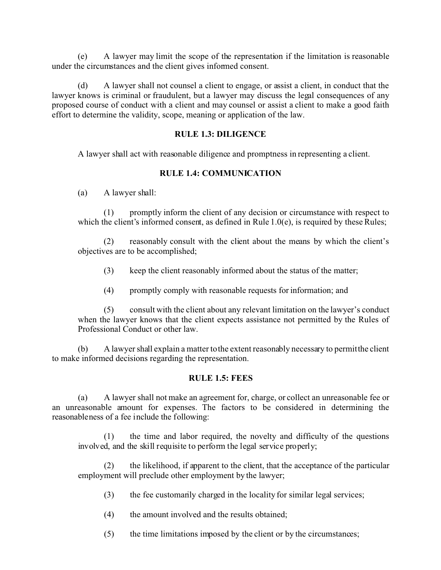(e) A lawyer may limit the scope of the representation if the limitation is reasonable under the circumstances and the client gives informed consent.

(d) A lawyer shall not counsel a client to engage, or assist a client, in conduct that the lawyer knows is criminal or fraudulent, but a lawyer may discuss the legal consequences of any proposed course of conduct with a client and may counsel or assist a client to make a good faith effort to determine the validity, scope, meaning or application of the law.

### **RULE 1.3: DILIGENCE**

A lawyer shall act with reasonable diligence and promptness in representing a client.

### **RULE 1.4: COMMUNICATION**

(a) A lawyer shall:

(1) promptly inform the client of any decision or circumstance with respect to which the client's informed consent, as defined in Rule 1.0(e), is required by these Rules;

(2) reasonably consult with the client about the means by which the client's objectives are to be accomplished;

(3) keep the client reasonably informed about the status of the matter;

(4) promptly comply with reasonable requests for information; and

(5) consult with the client about any relevant limitation on the lawyer's conduct when the lawyer knows that the client expects assistance not permitted by the Rules of Professional Conduct or other law.

(b) A lawyer shall explain a matter to the extent reasonably necessary to permit the client to make informed decisions regarding the representation.

#### **RULE 1.5: FEES**

(a) A lawyer shall not make an agreement for, charge, or collect an unreasonable fee or an unreasonable amount for expenses. The factors to be considered in determining the reasonableness of a fee include the following:

(1) the time and labor required, the novelty and difficulty of the questions involved, and the skill requisite to perform the legal service properly;

(2) the likelihood, if apparent to the client, that the acceptance of the particular employment will preclude other employment by the lawyer;

- (3) the fee customarily charged in the locality for similar legal services;
- (4) the amount involved and the results obtained;
- (5) the time limitations imposed by the client or by the circumstances;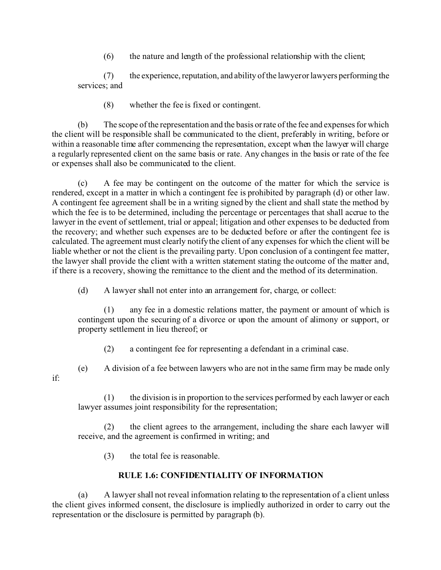(6) the nature and length of the professional relationship with the client;

(7) the experience, reputation, and ability of the lawyer or lawyers performing the services; and

(8) whether the fee is fixed or contingent.

(b) The scope of the representation and the basis or rate of the fee and expenses for which the client will be responsible shall be communicated to the client, preferably in writing, before or within a reasonable time after commencing the representation, except when the lawyer will charge a regularly represented client on the same basis or rate. Any changes in the basis or rate of the fee or expenses shall also be communicated to the client.

(c) A fee may be contingent on the outcome of the matter for which the service is rendered, except in a matter in which a contingent fee is prohibited by paragraph (d) or other law. A contingent fee agreement shall be in a writing signed by the client and shall state the method by which the fee is to be determined, including the percentage or percentages that shall accrue to the lawyer in the event of settlement, trial or appeal; litigation and other expenses to be deducted from the recovery; and whether such expenses are to be deducted before or after the contingent fee is calculated. The agreement must clearly notify the client of any expenses for which the client will be liable whether or not the client is the prevailing party. Upon conclusion of a contingent fee matter, the lawyer shall provide the client with a written statement stating the outcome of the matter and, if there is a recovery, showing the remittance to the client and the method of its determination.

(d) A lawyer shall not enter into an arrangement for, charge, or collect:

(1) any fee in a domestic relations matter, the payment or amount of which is contingent upon the securing of a divorce or upon the amount of alimony or support, or property settlement in lieu thereof; or

(2) a contingent fee for representing a defendant in a criminal case.

if:

(e) A division of a fee between lawyers who are not in the same firm may be made only

(1) the division is in proportion to the services performed by each lawyer or each lawyer assumes joint responsibility for the representation;

(2) the client agrees to the arrangement, including the share each lawyer will receive, and the agreement is confirmed in writing; and

(3) the total fee is reasonable.

# **RULE 1.6: CONFIDENTIALITY OF INFORMATION**

(a) A lawyer shall not reveal information relating to the representation of a client unless the client gives informed consent, the disclosure is impliedly authorized in order to carry out the representation or the disclosure is permitted by paragraph (b).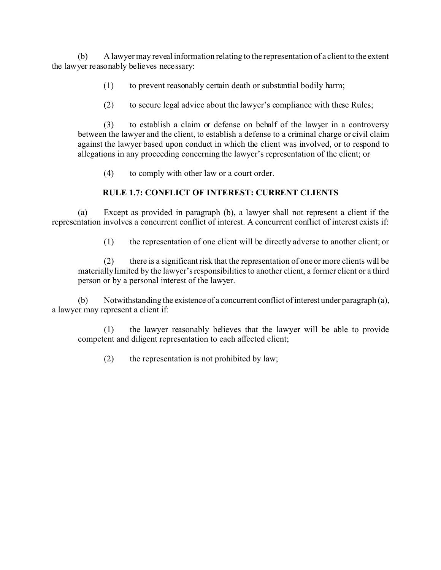(b) A lawyer may reveal information relating to the representation of a client to the extent the lawyer reasonably believes necessary:

- (1) to prevent reasonably certain death or substantial bodily harm;
- (2) to secure legal advice about the lawyer's compliance with these Rules;

(3) to establish a claim or defense on behalf of the lawyer in a controversy between the lawyer and the client, to establish a defense to a criminal charge or civil claim against the lawyer based upon conduct in which the client was involved, or to respond to allegations in any proceeding concerning the lawyer's representation of the client; or

(4) to comply with other law or a court order.

# **RULE 1.7: CONFLICT OF INTEREST: CURRENT CLIENTS**

(a) Except as provided in paragraph (b), a lawyer shall not represent a client if the representation involves a concurrent conflict of interest. A concurrent conflict of interest exists if:

(1) the representation of one client will be directly adverse to another client; or

(2) there is a significant risk that the representation of one or more clients will be materially limited by the lawyer's responsibilities to another client, a former client or a third person or by a personal interest of the lawyer.

(b) Notwithstanding the existence of a concurrent conflict of interest under paragraph (a), a lawyer may represent a client if:

(1) the lawyer reasonably believes that the lawyer will be able to provide competent and diligent representation to each affected client;

(2) the representation is not prohibited by law;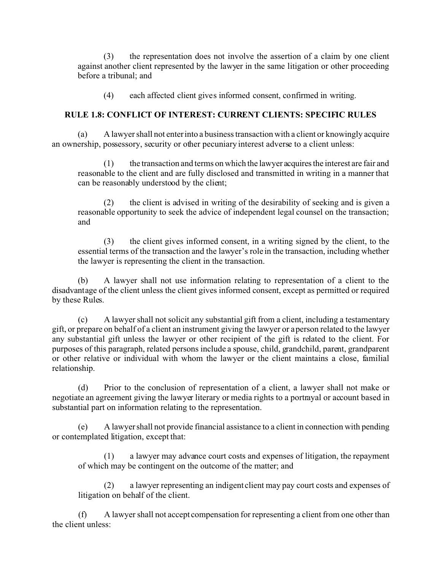(3) the representation does not involve the assertion of a claim by one client against another client represented by the lawyer in the same litigation or other proceeding before a tribunal; and

(4) each affected client gives informed consent, confirmed in writing.

# **RULE 1.8: CONFLICT OF INTEREST: CURRENT CLIENTS: SPECIFIC RULES**

(a) A lawyer shall not enter into a business transaction with a client or knowingly acquire an ownership, possessory, security or other pecuniary interest adverse to a client unless:

(1) the transaction and terms on which the lawyer acquires the interest are fair and reasonable to the client and are fully disclosed and transmitted in writing in a manner that can be reasonably understood by the client;

(2) the client is advised in writing of the desirability of seeking and is given a reasonable opportunity to seek the advice of independent legal counsel on the transaction; and

(3) the client gives informed consent, in a writing signed by the client, to the essential terms of the transaction and the lawyer's role in the transaction, including whether the lawyer is representing the client in the transaction.

(b) A lawyer shall not use information relating to representation of a client to the disadvantage of the client unless the client gives informed consent, except as permitted or required by these Rules.

(c) A lawyer shall not solicit any substantial gift from a client, including a testamentary gift, or prepare on behalf of a client an instrument giving the lawyer or a person related to the lawyer any substantial gift unless the lawyer or other recipient of the gift is related to the client. For purposes of this paragraph, related persons include a spouse, child, grandchild, parent, grandparent or other relative or individual with whom the lawyer or the client maintains a close, familial relationship.

(d) Prior to the conclusion of representation of a client, a lawyer shall not make or negotiate an agreement giving the lawyer literary or media rights to a portrayal or account based in substantial part on information relating to the representation.

(e) A lawyer shall not provide financial assistance to a client in connection with pending or contemplated litigation, except that:

(1) a lawyer may advance court costs and expenses of litigation, the repayment of which may be contingent on the outcome of the matter; and

(2) a lawyer representing an indigent client may pay court costs and expenses of litigation on behalf of the client.

(f) A lawyer shall not accept compensation for representing a client from one other than the client unless: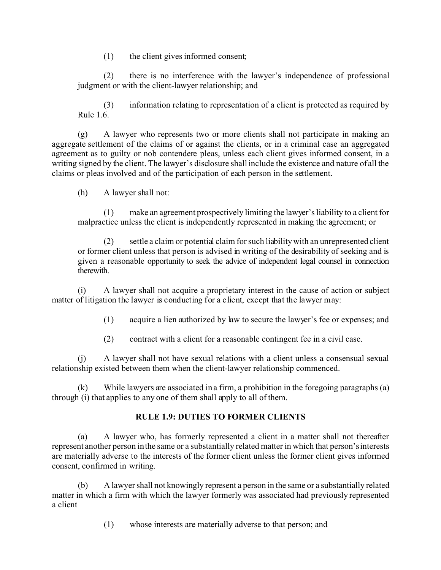(1) the client gives informed consent;

(2) there is no interference with the lawyer's independence of professional judgment or with the client-lawyer relationship; and

(3) information relating to representation of a client is protected as required by Rule 1.6.

(g) A lawyer who represents two or more clients shall not participate in making an aggregate settlement of the claims of or against the clients, or in a criminal case an aggregated agreement as to guilty or nob contendere pleas, unless each client gives informed consent, in a writing signed by the client. The lawyer's disclosure shall include the existence and nature of all the claims or pleas involved and of the participation of each person in the settlement.

(h) A lawyer shall not:

(1) make an agreement prospectively limiting the lawyer's liability to a client for malpractice unless the client is independently represented in making the agreement; or

(2) settle a claim or potential claim for such liability with an unrepresented client or former client unless that person is advised in writing of the desirability of seeking and is given a reasonable opportunity to seek the advice of independent legal counsel in connection therewith.

(i) A lawyer shall not acquire a proprietary interest in the cause of action or subject matter of litigation the lawyer is conducting for a client, except that the lawyer may:

(1) acquire a lien authorized by law to secure the lawyer's fee or expenses; and

(2) contract with a client for a reasonable contingent fee in a civil case.

(j) A lawyer shall not have sexual relations with a client unless a consensual sexual relationship existed between them when the client-lawyer relationship commenced.

(k) While lawyers are associated in a firm, a prohibition in the foregoing paragraphs (a) through (i) that applies to any one of them shall apply to all of them.

# **RULE 1.9: DUTIES TO FORMER CLIENTS**

(a) A lawyer who, has formerly represented a client in a matter shall not thereafter represent another person in the same or a substantially related matter in which that person's interests are materially adverse to the interests of the former client unless the former client gives informed consent, confirmed in writing.

(b) A lawyer shall not knowingly represent a person in the same or a substantially related matter in which a firm with which the lawyer formerly was associated had previously represented a client

(1) whose interests are materially adverse to that person; and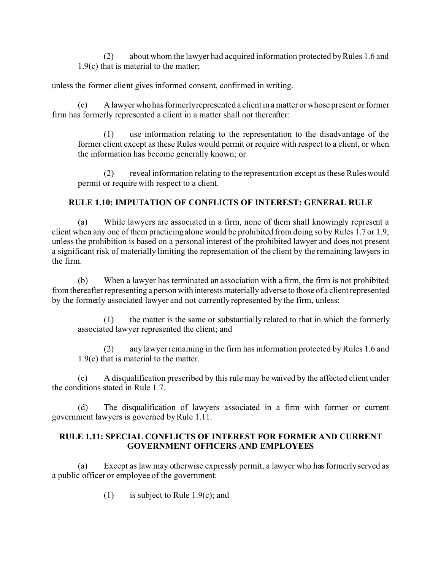(2) about whom the lawyer had acquired information protected by Rules 1.6 and 1.9(c) that is material to the matter;

unless the former client gives informed consent, confirmed in writing.

(c) A lawyer who has formerly represented a client in a matter or whose present or former firm has formerly represented a client in a matter shall not thereafter:

(1) use information relating to the representation to the disadvantage of the former client except as these Rules would permit or require with respect to a client, or when the information has become generally known; or

(2) reveal information relating to the representation except as these Rules would permit or require with respect to a client.

# **RULE 1.10: IMPUTATION OF CONFLICTS OF INTEREST: GENERAL RULE**

(a) While lawyers are associated in a firm, none of them shall knowingly represent a client when any one of them practicing alone would be prohibited from doing so by Rules 1.7 or 1.9, unless the prohibition is based on a personal interest of the prohibited lawyer and does not present a significant risk of materially limiting the representation of the client by the remaining lawyers in the firm.

(b) When a lawyer has terminated an association with a firm, the firm is not prohibited from thereafter representing a person with interests materially adverse to those of a client represented by the formerly associated lawyer and not currently represented by the firm, unless:

(1) the matter is the same or substantially related to that in which the formerly associated lawyer represented the client; and

(2) any lawyer remaining in the firm has information protected by Rules 1.6 and 1.9(c) that is material to the matter.

(c) A disqualification prescribed by this rule may be waived by the affected client under the conditions stated in Rule 1.7.

(d) The disqualification of lawyers associated in a firm with former or current government lawyers is governed by Rule 1.11.

### **RULE 1.11: SPECIAL CONFLICTS OF INTEREST FOR FORMER AND CURRENT GOVERNMENT OFFICERS AND EMPLOYEES**

(a) Except as law may otherwise expressly permit, a lawyer who has formerly served as a public officer or employee of the government:

(1) is subject to Rule 1.9(c); and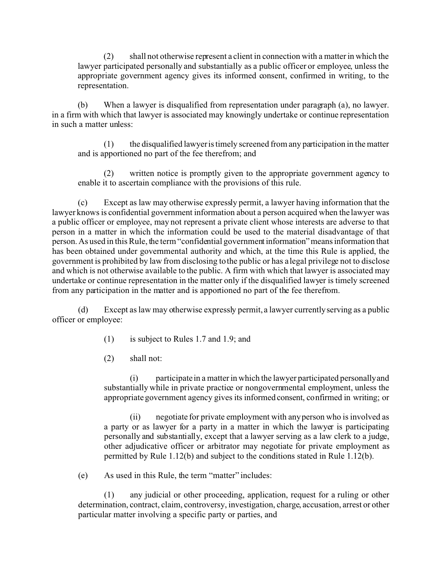(2) shall not otherwise represent a client in connection with a matter in which the lawyer participated personally and substantially as a public officer or employee, unless the appropriate government agency gives its informed consent, confirmed in writing, to the representation.

(b) When a lawyer is disqualified from representation under paragraph (a), no lawyer. in a firm with which that lawyer is associated may knowingly undertake or continue representation in such a matter unless:

(1) the disqualified lawyer is timely screened from any participation in the matter and is apportioned no part of the fee therefrom; and

(2) written notice is promptly given to the appropriate government agency to enable it to ascertain compliance with the provisions of this rule.

(c) Except as law may otherwise expressly permit, a lawyer having information that the lawyer knows is confidential government information about a person acquired when the lawyer was a public officer or employee, may not represent a private client whose interests are adverse to that person in a matter in which the information could be used to the material disadvantage of that person. As used in this Rule, the term "confidential government information"means information that has been obtained under governmental authority and which, at the time this Rule is applied, the government is prohibited by law from disclosing to the public or has a legal privilege not to disclose and which is not otherwise available to the public. A firm with which that lawyer is associated may undertake or continue representation in the matter only if the disqualified lawyer is timely screened from any participation in the matter and is apportioned no part of the fee therefrom.

(d) Except as law may otherwise expressly permit, a lawyer currently serving as a public officer or employee:

(1) is subject to Rules 1.7 and 1.9; and

(2) shall not:

(i) participate in a matter in which the lawyer participated personally and substantially while in private practice or nongovernmental employment, unless the appropriate government agency gives its informed consent, confirmed in writing; or

(ii) negotiate for private employment with any person who is involved as a party or as lawyer for a party in a matter in which the lawyer is participating personally and substantially, except that a lawyer serving as a law clerk to a judge, other adjudicative officer or arbitrator may negotiate for private employment as permitted by Rule 1.12(b) and subject to the conditions stated in Rule 1.12(b).

(e) As used in this Rule, the term "matter" includes:

(1) any judicial or other proceeding, application, request for a ruling or other determination, contract, claim, controversy, investigation, charge, accusation, arrest or other particular matter involving a specific party or parties, and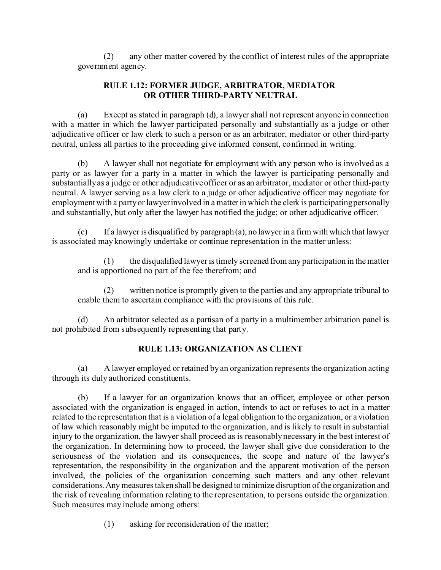(2) any other matter covered by the conflict of interest rules of the appropriate government agency.

# **RULE 1.12: FORMER JUDGE, ARBITRATOR, MEDIATOR OR OTHER THIRD-PARTY NEUTRAL**

(a) Except as stated in paragraph (d), a lawyer shall not represent anyone in connection with a matter in which the lawyer participated personally and substantially as a judge or other adjudicative officer or law clerk to such a person or as an arbitrator, mediator or other third-party neutral, unless all parties to the proceeding give informed consent, confirmed in writing.

(b) A lawyer shall not negotiate for employment with any person who is involved as a party or as lawyer for a party in a matter in which the lawyer is participating personally and substantially as a judge or other adjudicative officer or as an arbitrator, mediator or other third-party neutral. A lawyer serving as a law clerk to a judge or other adjudicative officer may negotiate for employment with a party or lawyer involved in a matter in which the clerk is participating personally and substantially, but only after the lawyer has notified the judge; or other adjudicative officer.

(c) If a lawyer is disqualified by paragraph (a), no lawyer in a firm with which that lawyer is associated may knowingly undertake or continue representation in the matter unless:

(1) the disqualified lawyer is timely screened from any participation in the matter and is apportioned no part of the fee therefrom; and

(2) written notice is promptly given to the parties and any appropriate tribunal to enable them to ascertain compliance with the provisions of this rule.

(d) An arbitrator selected as a partisan of a party in a multimember arbitration panel is not prohibited from subsequently representing that party.

# **RULE 1.13: ORGANIZATION AS CLIENT**

(a) A lawyer employed or retained by an organization represents the organization acting through its duly authorized constituents.

(b) If a lawyer for an organization knows that an officer, employee or other person associated with the organization is engaged in action, intends to act or refuses to act in a matter related to the representation that is a violation of a legal obligation to the organization, or a violation of law which reasonably might be imputed to the organization, and is likely to result in substantial injury to the organization, the lawyer shall proceed as is reasonably necessary in the best interest of the organization. In determining how to proceed, the lawyer shall give due consideration to the seriousness of the violation and its consequences, the scope and nature of the lawyer's representation, the responsibility in the organization and the apparent motivation of the person involved, the policies of the organization concerning such matters and any other relevant considerations. Any measures taken shall be designed to minimize disruption of the organization and the risk of revealing information relating to the representation, to persons outside the organization. Such measures may include among others:

(1) asking for reconsideration of the matter;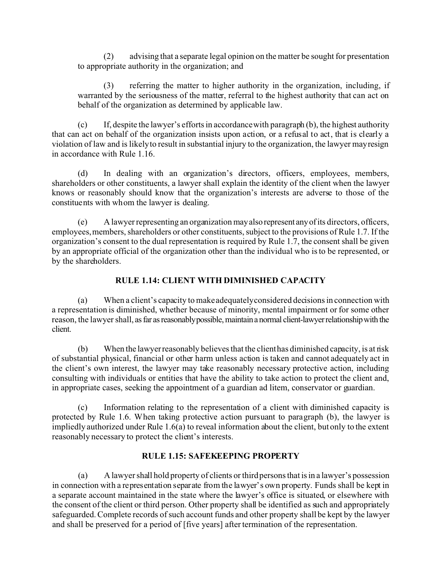(2) advising that a separate legal opinion on the matter be sought for presentation to appropriate authority in the organization; and

(3) referring the matter to higher authority in the organization, including, if warranted by the seriousness of the matter, referral to the highest authority that can act on behalf of the organization as determined by applicable law.

(c) If, despite the lawyer's efforts in accordance with paragraph (b), the highest authority that can act on behalf of the organization insists upon action, or a refusal to act, that is clearly a violation of law and is likely to result in substantial injury to the organization, the lawyer may resign in accordance with Rule 1.16.

(d) In dealing with an organization's directors, officers, employees, members, shareholders or other constituents, a lawyer shall explain the identity of the client when the lawyer knows or reasonably should know that the organization's interests are adverse to those of the constituents with whom the lawyer is dealing.

(e) A lawyer representing an organization mayalsorepresent anyofits directors, officers, employees, members, shareholders or other constituents, subject to the provisions of Rule 1.7. If the organization's consent to the dual representation is required by Rule 1.7, the consent shall be given by an appropriate official of the organization other than the individual who is to be represented, or by the shareholders.

### **RULE 1.14: CLIENT WITH DIMINISHED CAPACITY**

(a) When a client's capacity to make adequately considered decisions in connection with a representation is diminished, whether because of minority, mental impairment or for some other reason, the lawyer shall, as far as reasonably possible, maintain a normal client-lawyer relationship with the client.

(b) When the lawyer reasonably believes that the client has diminished capacity, is at risk of substantial physical, financial or other harm unless action is taken and cannot adequately act in the client's own interest, the lawyer may take reasonably necessary protective action, including consulting with individuals or entities that have the ability to take action to protect the client and, in appropriate cases, seeking the appointment of a guardian ad litem, conservator or guardian.

(c) Information relating to the representation of a client with diminished capacity is protected by Rule 1.6. When taking protective action pursuant to paragraph (b), the lawyer is impliedly authorized under Rule 1.6(a) to reveal information about the client, but only to the extent reasonably necessary to protect the client's interests.

# **RULE 1.15: SAFEKEEPING PROPERTY**

(a) A lawyer shall hold property of clients or third persons that is in a lawyer's possession in connection with a representation separate from the lawyer's own property. Funds shall be kept in a separate account maintained in the state where the lawyer's office is situated, or elsewhere with the consent of the client or third person. Other property shall be identified as such and appropriately safeguarded. Complete records of such account funds and other property shall be kept by the lawyer and shall be preserved for a period of [five years] after termination of the representation.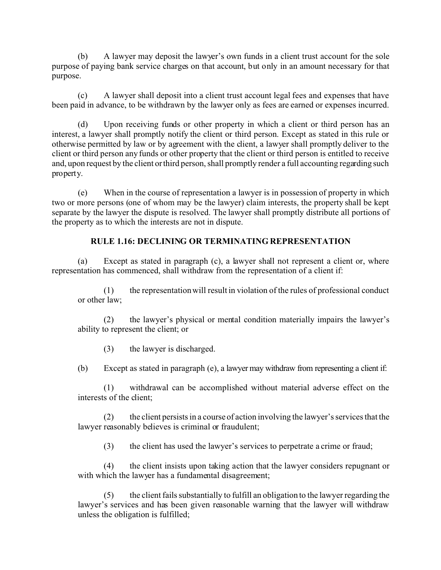(b) A lawyer may deposit the lawyer's own funds in a client trust account for the sole purpose of paying bank service charges on that account, but only in an amount necessary for that purpose.

(c) A lawyer shall deposit into a client trust account legal fees and expenses that have been paid in advance, to be withdrawn by the lawyer only as fees are earned or expenses incurred.

(d) Upon receiving funds or other property in which a client or third person has an interest, a lawyer shall promptly notify the client or third person. Except as stated in this rule or otherwise permitted by law or by agreement with the client, a lawyer shall promptly deliver to the client or third person any funds or other property that the client or third person is entitled to receive and, upon request by the client or third person, shall promptly render a full accounting regarding such property.

(e) When in the course of representation a lawyer is in possession of property in which two or more persons (one of whom may be the lawyer) claim interests, the property shall be kept separate by the lawyer the dispute is resolved. The lawyer shall promptly distribute all portions of the property as to which the interests are not in dispute.

# **RULE 1.16: DECLINING OR TERMINATING REPRESENTATION**

(a) Except as stated in paragraph (c), a lawyer shall not represent a client or, where representation has commenced, shall withdraw from the representation of a client if:

(1) the representation will result in violation of the rules of professional conduct or other law;

(2) the lawyer's physical or mental condition materially impairs the lawyer's ability to represent the client; or

(3) the lawyer is discharged.

(b) Except as stated in paragraph (e), a lawyer may withdraw from representing a client if:

(1) withdrawal can be accomplished without material adverse effect on the interests of the client;

(2) the client persists in a course of action involving the lawyer's services that the lawyer reasonably believes is criminal or fraudulent;

(3) the client has used the lawyer's services to perpetrate a crime or fraud;

(4) the client insists upon taking action that the lawyer considers repugnant or with which the lawyer has a fundamental disagreement;

(5) the client fails substantially to fulfill an obligation to the lawyer regarding the lawyer's services and has been given reasonable warning that the lawyer will withdraw unless the obligation is fulfilled;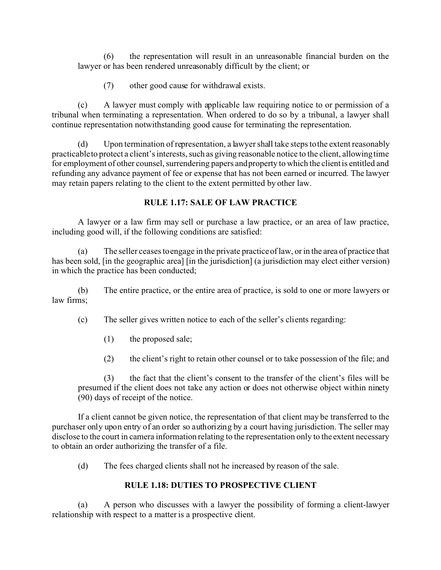(6) the representation will result in an unreasonable financial burden on the lawyer or has been rendered unreasonably difficult by the client; or

(7) other good cause for withdrawal exists.

(c) A lawyer must comply with applicable law requiring notice to or permission of a tribunal when terminating a representation. When ordered to do so by a tribunal, a lawyer shall continue representation notwithstanding good cause for terminating the representation.

(d) Upon termination of representation, a lawyer shall take steps to the extent reasonably practicable to protect a client's interests, such as giving reasonable notice to the client, allowing time for employment of other counsel, surrendering papers and property to which the client is entitled and refunding any advance payment of fee or expense that has not been earned or incurred. The lawyer may retain papers relating to the client to the extent permitted by other law.

# **RULE 1.17: SALE OF LAW PRACTICE**

A lawyer or a law firm may sell or purchase a law practice, or an area of law practice, including good will, if the following conditions are satisfied:

(a) The seller ceases to engage in the private practice of law, or in the area of practice that has been sold, [in the geographic area] [in the jurisdiction] (a jurisdiction may elect either version) in which the practice has been conducted;

(b) The entire practice, or the entire area of practice, is sold to one or more lawyers or law firms;

(c) The seller gives written notice to each of the seller's clients regarding:

- (1) the proposed sale;
- (2) the client's right to retain other counsel or to take possession of the file; and

(3) the fact that the client's consent to the transfer of the client's files will be presumed if the client does not take any action or does not otherwise object within ninety (90) days of receipt of the notice.

If a client cannot be given notice, the representation of that client may be transferred to the purchaser only upon entry of an order so authorizing by a court having jurisdiction. The seller may disclose to the court in camera information relating to the representation only to the extent necessary to obtain an order authorizing the transfer of a file.

(d) The fees charged clients shall not he increased by reason of the sale.

# **RULE 1.18: DUTIES TO PROSPECTIVE CLIENT**

(a) A person who discusses with a lawyer the possibility of forming a client-lawyer relationship with respect to a matter is a prospective client.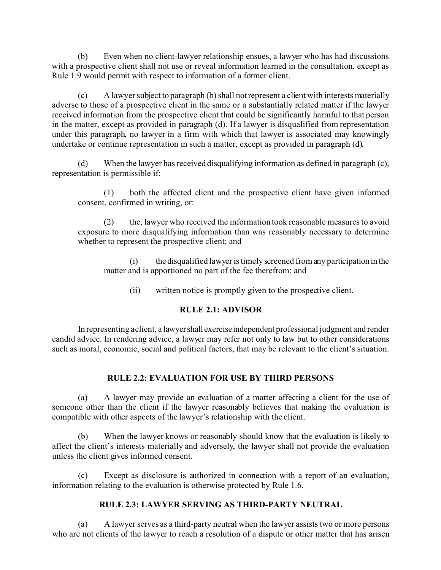(b) Even when no client-lawyer relationship ensues, a lawyer who has had discussions with a prospective client shall not use or reveal information learned in the consultation, except as Rule 1.9 would permit with respect to information of a former client.

(c) A lawyer subject to paragraph (b) shall not represent a client with interests materially adverse to those of a prospective client in the same or a substantially related matter if the lawyer received information from the prospective client that could be significantly harmful to that person in the matter, except as provided in paragraph (d). If a lawyer is disqualified from representation under this paragraph, no lawyer in a firm with which that lawyer is associated may knowingly undertake or continue representation in such a matter, except as provided in paragraph (d).

(d) When the lawyer has received disqualifying information as defined in paragraph (c), representation is permissible if:

(1) both the affected client and the prospective client have given informed consent, confirmed in writing, or:

(2) the, lawyer who received the information took reasonable measures to avoid exposure to more disqualifying information than was reasonably necessary to determine whether to represent the prospective client; and

(i) the disqualified lawyer is timely screened from any participation in the matter and is apportioned no part of the fee therefrom; and

(ii) written notice is promptly given to the prospective client.

# **RULE 2.1: ADVISOR**

In representing a client, a lawyershall exerciseindependent professional judgment and render candid advice. In rendering advice, a lawyer may refer not only to law but to other considerations such as moral, economic, social and political factors, that may be relevant to the client's situation.

# **RULE 2.2: EVALUATION FOR USE BY THIRD PERSONS**

(a) A lawyer may provide an evaluation of a matter affecting a client for the use of someone other than the client if the lawyer reasonably believes that making the evaluation is compatible with other aspects of the lawyer's relationship with the client.

(b) When the lawyer knows or reasonably should know that the evaluation is likely to affect the client's interests materially and adversely, the lawyer shall not provide the evaluation unless the client gives informed consent.

(c) Except as disclosure is authorized in connection with a report of an evaluation, information relating to the evaluation is otherwise protected by Rule 1.6.

# **RULE 2.3: LAWYER SERVING AS THIRD-PARTY NEUTRAL**

(a) A lawyer serves as a third-party neutral when the lawyer assists two or more persons who are not clients of the lawyer to reach a resolution of a dispute or other matter that has arisen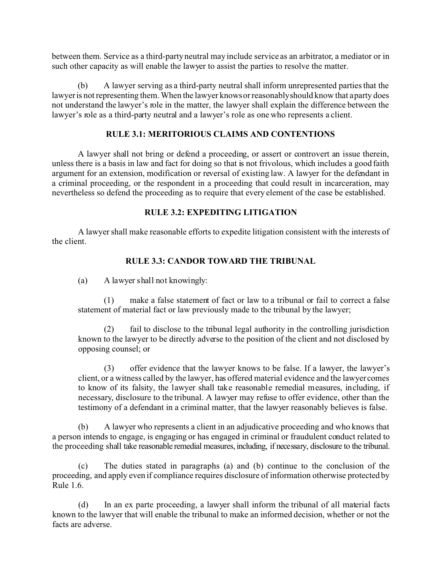between them. Service as a third-party neutral may include service as an arbitrator, a mediator or in such other capacity as will enable the lawyer to assist the parties to resolve the matter.

(b) A lawyer serving as a third-party neutral shall inform unrepresented parties that the lawyer is not representing them. When the lawyer knows or reasonably should know that a party does not understand the lawyer's role in the matter, the lawyer shall explain the difference between the lawyer's role as a third-party neutral and a lawyer's role as one who represents a client.

# **RULE 3.1: MERITORIOUS CLAIMS AND CONTENTIONS**

A lawyer shall not bring or defend a proceeding, or assert or controvert an issue therein, unless there is a basis in law and fact for doing so that is not frivolous, which includes a good faith argument for an extension, modification or reversal of existing law. A lawyer for the defendant in a criminal proceeding, or the respondent in a proceeding that could result in incarceration, may nevertheless so defend the proceeding as to require that every element of the case be established.

# **RULE 3.2: EXPEDITING LITIGATION**

A lawyer shall make reasonable efforts to expedite litigation consistent with the interests of the client.

# **RULE 3.3: CANDOR TOWARD THE TRIBUNAL**

(a) A lawyer shall not knowingly:

(1) make a false statement of fact or law to a tribunal or fail to correct a false statement of material fact or law previously made to the tribunal by the lawyer;

(2) fail to disclose to the tribunal legal authority in the controlling jurisdiction known to the lawyer to be directly adverse to the position of the client and not disclosed by opposing counsel; or

(3) offer evidence that the lawyer knows to be false. If a lawyer, the lawyer's client, or a witness called by the lawyer, has offered material evidence and the lawyer comes to know of its falsity, the lawyer shall take reasonable remedial measures, including, if necessary, disclosure to the tribunal. A lawyer may refuse to offer evidence, other than the testimony of a defendant in a criminal matter, that the lawyer reasonably believes is false.

(b) A lawyer who represents a client in an adjudicative proceeding and who knows that a person intends to engage, is engaging or has engaged in criminal or fraudulent conduct related to the proceeding shall take reasonable remedial measures, including, if necessary, disclosure to the tribunal.

(c) The duties stated in paragraphs (a) and (b) continue to the conclusion of the proceeding, and apply even if compliance requires disclosure of information otherwise protected by Rule  $1.6$ 

(d) In an ex parte proceeding, a lawyer shall inform the tribunal of all material facts known to the lawyer that will enable the tribunal to make an informed decision, whether or not the facts are adverse.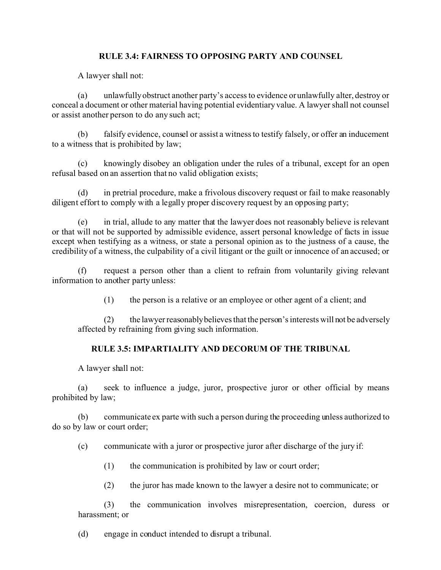# **RULE 3.4: FAIRNESS TO OPPOSING PARTY AND COUNSEL**

A lawyer shall not:

(a) unlawfully obstruct another party's access to evidence or unlawfully alter, destroy or conceal a document or other material having potential evidentiary value. A lawyer shall not counsel or assist another person to do any such act;

(b) falsify evidence, counsel or assist a witness to testify falsely, or offer an inducement to a witness that is prohibited by law;

(c) knowingly disobey an obligation under the rules of a tribunal, except for an open refusal based on an assertion that no valid obligation exists;

(d) in pretrial procedure, make a frivolous discovery request or fail to make reasonably diligent effort to comply with a legally proper discovery request by an opposing party;

(e) in trial, allude to any matter that the lawyer does not reasonably believe is relevant or that will not be supported by admissible evidence, assert personal knowledge of facts in issue except when testifying as a witness, or state a personal opinion as to the justness of a cause, the credibility of a witness, the culpability of a civil litigant or the guilt or innocence of an accused; or

(f) request a person other than a client to refrain from voluntarily giving relevant information to another party unless:

(1) the person is a relative or an employee or other agent of a client; and

(2) the lawyer reasonablybelieves that the person's interests will not be adversely affected by refraining from giving such information.

# **RULE 3.5: IMPARTIALITY AND DECORUM OF THE TRIBUNAL**

A lawyer shall not:

(a) seek to influence a judge, juror, prospective juror or other official by means prohibited by law;

(b) communicate ex parte with such a person during the proceeding unless authorized to do so by law or court order;

(c) communicate with a juror or prospective juror after discharge of the jury if:

- (1) the communication is prohibited by law or court order;
- (2) the juror has made known to the lawyer a desire not to communicate; or

(3) the communication involves misrepresentation, coercion, duress or harassment; or

(d) engage in conduct intended to disrupt a tribunal.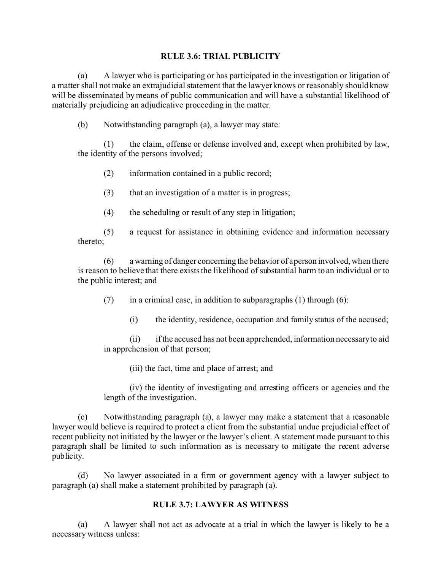#### **RULE 3.6: TRIAL PUBLICITY**

(a) A lawyer who is participating or has participated in the investigation or litigation of a matter shall not make an extrajudicial statement that the lawyer knows or reasonably should know will be disseminated by means of public communication and will have a substantial likelihood of materially prejudicing an adjudicative proceeding in the matter.

(b) Notwithstanding paragraph (a), a lawyer may state:

(1) the claim, offense or defense involved and, except when prohibited by law, the identity of the persons involved;

(2) information contained in a public record;

(3) that an investigation of a matter is in progress;

(4) the scheduling or result of any step in litigation;

(5) a request for assistance in obtaining evidence and information necessary thereto;

(6) a warning of danger concerning the behavior of a person involved, when there is reason to believe that there exists the likelihood of substantial harm to an individual or to the public interest; and

 $(7)$  in a criminal case, in addition to subparagraphs  $(1)$  through  $(6)$ :

(i) the identity, residence, occupation and family status of the accused;

(ii) if the accused has not been apprehended, information necessary to aid in apprehension of that person;

(iii) the fact, time and place of arrest; and

(iv) the identity of investigating and arresting officers or agencies and the length of the investigation.

(c) Notwithstanding paragraph (a), a lawyer may make a statement that a reasonable lawyer would believe is required to protect a client from the substantial undue prejudicial effect of recent publicity not initiated by the lawyer or the lawyer's client. A statement made pursuant to this paragraph shall be limited to such information as is necessary to mitigate the recent adverse publicity.

(d) No lawyer associated in a firm or government agency with a lawyer subject to paragraph (a) shall make a statement prohibited by paragraph (a).

# **RULE 3.7: LAWYER AS WITNESS**

(a) A lawyer shall not act as advocate at a trial in which the lawyer is likely to be a necessary witness unless: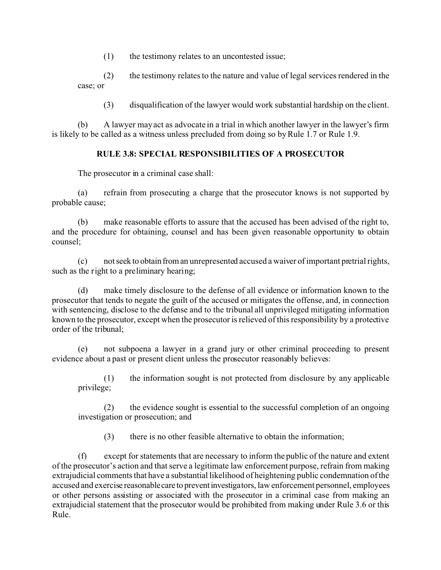(1) the testimony relates to an uncontested issue;

(2) the testimony relates to the nature and value of legal services rendered in the case; or

(3) disqualification of the lawyer would work substantial hardship on the client.

(b) A lawyer may act as advocate in a trial in which another lawyer in the lawyer's firm is likely to be called as a witness unless precluded from doing so by Rule 1.7 or Rule 1.9.

# **RULE 3.8: SPECIAL RESPONSIBILITIES OF A PROSECUTOR**

The prosecutor in a criminal case shall:

(a) refrain from prosecuting a charge that the prosecutor knows is not supported by probable cause;

(b) make reasonable efforts to assure that the accused has been advised of the right to, and the procedure for obtaining, counsel and has been given reasonable opportunity to obtain counsel;

(c) notseek to obtainfroman unrepresented accused a waiver of important pretrial rights, such as the right to a preliminary hearing;

(d) make timely disclosure to the defense of all evidence or information known to the prosecutor that tends to negate the guilt of the accused or mitigates the offense, and, in connection with sentencing, disclose to the defense and to the tribunal all unprivileged mitigating information known to the prosecutor, except when the prosecutor is relieved of this responsibility by a protective order of the tribunal;

(e) not subpoena a lawyer in a grand jury or other criminal proceeding to present evidence about a past or present client unless the prosecutor reasonably believes:

(1) the information sought is not protected from disclosure by any applicable privilege;

(2) the evidence sought is essential to the successful completion of an ongoing investigation or prosecution; and

(3) there is no other feasible alternative to obtain the information;

(f) except for statements that are necessary to inform the public of the nature and extent of the prosecutor's action and that serve a legitimate law enforcement purpose, refrain from making extrajudicial comments that have a substantial likelihood of heightening public condemnation of the accused and exercise reasonablecare to preventinvestigators, law enforcement personnel, employees or other persons assisting or associated with the prosecutor in a criminal case from making an extrajudicial statement that the prosecutor would be prohibited from making under Rule 3.6 or this Rule.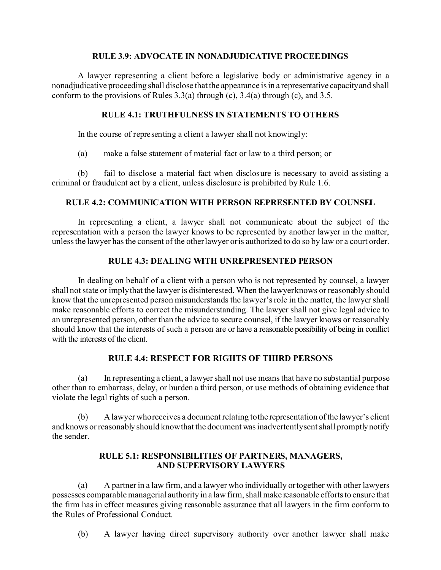#### **RULE 3.9: ADVOCATE IN NONADJUDICATIVE PROCEEDINGS**

A lawyer representing a client before a legislative body or administrative agency in a nonadjudicative proceeding shall disclose that the appearance is in a representative capacityand shall conform to the provisions of Rules 3.3(a) through (c), 3.4(a) through (c), and 3.5.

# **RULE 4.1: TRUTHFULNESS IN STATEMENTS TO OTHERS**

In the course of representing a client a lawyer shall not knowingly:

(a) make a false statement of material fact or law to a third person; or

(b) fail to disclose a material fact when disclosure is necessary to avoid assisting a criminal or fraudulent act by a client, unless disclosure is prohibited by Rule 1.6.

### **RULE 4.2: COMMUNICATION WITH PERSON REPRESENTED BY COUNSEL**

In representing a client, a lawyer shall not communicate about the subject of the representation with a person the lawyer knows to be represented by another lawyer in the matter, unless the lawyer has the consent of the other lawyer or is authorized to do so by law or a court order.

# **RULE 4.3: DEALING WITH UNREPRESENTED PERSON**

In dealing on behalf of a client with a person who is not represented by counsel, a lawyer shall not state or imply that the lawyer is disinterested. When the lawyer knows or reasonably should know that the unrepresented person misunderstands the lawyer's role in the matter, the lawyer shall make reasonable efforts to correct the misunderstanding. The lawyer shall not give legal advice to an unrepresented person, other than the advice to secure counsel, if the lawyer knows or reasonably should know that the interests of such a person are or have a reasonable possibility of being in conflict with the interests of the client.

# **RULE 4.4: RESPECT FOR RIGHTS OF THIRD PERSONS**

(a) In representing a client, a lawyer shall not use means that have no substantial purpose other than to embarrass, delay, or burden a third person, or use methods of obtaining evidence that violate the legal rights of such a person.

(b) A lawyer who receives a document relating to the representation of the lawyer's client and knows or reasonably should know that the document was inadvertently sent shall promptlynotify the sender.

### **RULE 5.1: RESPONSIBILITIES OF PARTNERS, MANAGERS, AND SUPERVISORY LAWYERS**

(a) A partner in a law firm, and a lawyer who individually or together with other lawyers possesses comparable managerial authority in a law firm, shall make reasonable efforts to ensure that the firm has in effect measures giving reasonable assurance that all lawyers in the firm conform to the Rules of Professional Conduct.

(b) A lawyer having direct supervisory authority over another lawyer shall make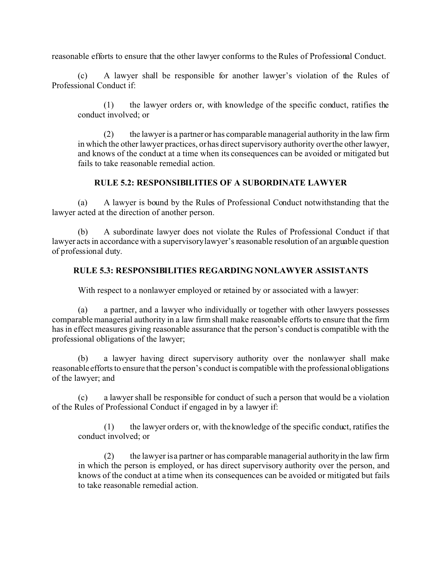reasonable efforts to ensure that the other lawyer conforms to the Rules of Professional Conduct.

(c) A lawyer shall be responsible for another lawyer's violation of the Rules of Professional Conduct if:

(1) the lawyer orders or, with knowledge of the specific conduct, ratifies the conduct involved; or

(2) the lawyer is a partner or has comparable managerial authority in the law firm in which the other lawyer practices, or has direct supervisory authority over the other lawyer, and knows of the conduct at a time when its consequences can be avoided or mitigated but fails to take reasonable remedial action.

### **RULE 5.2: RESPONSIBILITIES OF A SUBORDINATE LAWYER**

(a) A lawyer is bound by the Rules of Professional Conduct notwithstanding that the lawyer acted at the direction of another person.

(b) A subordinate lawyer does not violate the Rules of Professional Conduct if that lawyer acts in accordance with a supervisory lawyer's reasonable resolution of an arguable question of professional duty.

### **RULE 5.3: RESPONSIBILITIES REGARDING NONLAWYER ASSISTANTS**

With respect to a nonlawyer employed or retained by or associated with a lawyer:

(a) a partner, and a lawyer who individually or together with other lawyers possesses comparable managerial authority in a law firm shall make reasonable efforts to ensure that the firm has in effect measures giving reasonable assurance that the person's conduct is compatible with the professional obligations of the lawyer;

(b) a lawyer having direct supervisory authority over the nonlawyer shall make reasonable efforts to ensure that the person's conduct is compatible with the professional obligations of the lawyer; and

(c) a lawyer shall be responsible for conduct of such a person that would be a violation of the Rules of Professional Conduct if engaged in by a lawyer if:

(1) the lawyer orders or, with the knowledge of the specific conduct, ratifies the conduct involved; or

(2) the lawyer is a partner or has comparable managerial authority in the law firm in which the person is employed, or has direct supervisory authority over the person, and knows of the conduct at a time when its consequences can be avoided or mitigated but fails to take reasonable remedial action.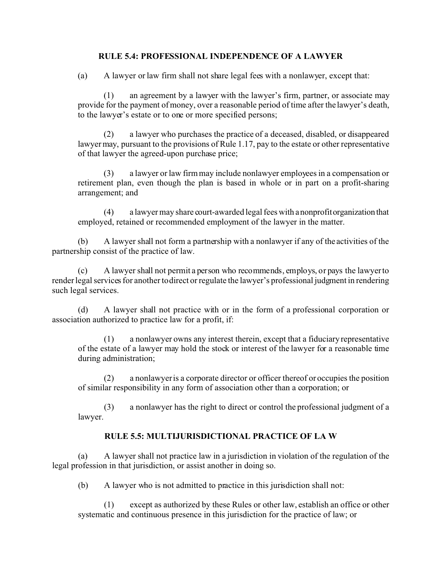#### **RULE 5.4: PROFESSIONAL INDEPENDENCE OF A LAWYER**

(a) A lawyer or law firm shall not share legal fees with a nonlawyer, except that:

(1) an agreement by a lawyer with the lawyer's firm, partner, or associate may provide for the payment of money, over a reasonable period of time after the lawyer's death, to the lawyer's estate or to one or more specified persons;

(2) a lawyer who purchases the practice of a deceased, disabled, or disappeared lawyer may, pursuant to the provisions of Rule 1.17, pay to the estate or other representative of that lawyer the agreed-upon purchase price;

(3) a lawyer or law firm may include nonlawyer employees in a compensation or retirement plan, even though the plan is based in whole or in part on a profit-sharing arrangement; and

(4) a lawyer may share court-awarded legal fees with a nonprofitorganization that employed, retained or recommended employment of the lawyer in the matter.

(b) A lawyer shall not form a partnership with a nonlawyer if any of the activities of the partnership consist of the practice of law.

(c) A lawyer shall not permit a person who recommends, employs, or pays the lawyer to render legal services for another to direct or regulate the lawyer's professional judgment in rendering such legal services.

(d) A lawyer shall not practice with or in the form of a professional corporation or association authorized to practice law for a profit, if:

(1) a nonlawyer owns any interest therein, except that a fiduciary representative of the estate of a lawyer may hold the stock or interest of the lawyer for a reasonable time during administration;

(2) a nonlawyer is a corporate director or officer thereof or occupies the position of similar responsibility in any form of association other than a corporation; or

(3) a nonlawyer has the right to direct or control the professional judgment of a lawyer.

# **RULE 5.5: MULTIJURISDICTIONAL PRACTICE OF LA W**

(a) A lawyer shall not practice law in a jurisdiction in violation of the regulation of the legal profession in that jurisdiction, or assist another in doing so.

(b) A lawyer who is not admitted to practice in this jurisdiction shall not:

(1) except as authorized by these Rules or other law, establish an office or other systematic and continuous presence in this jurisdiction for the practice of law; or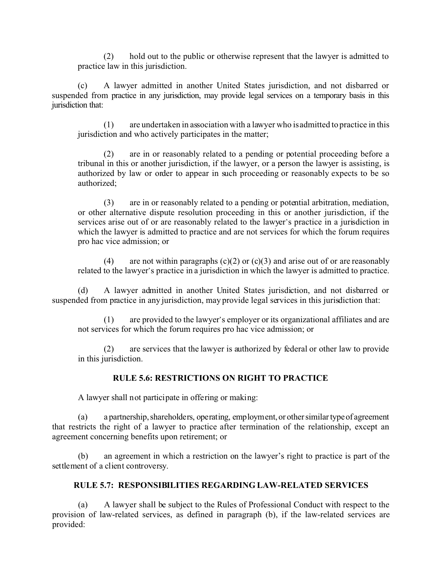(2) hold out to the public or otherwise represent that the lawyer is admitted to practice law in this jurisdiction.

(c) A lawyer admitted in another United States jurisdiction, and not disbarred or suspended from practice in any jurisdiction, may provide legal services on a temporary basis in this jurisdiction that:

(1) are undertaken in association with a lawyer who is admitted to practice in this jurisdiction and who actively participates in the matter;

(2) are in or reasonably related to a pending or potential proceeding before a tribunal in this or another jurisdiction, if the lawyer, or a person the lawyer is assisting, is authorized by law or order to appear in such proceeding or reasonably expects to be so authorized;

(3) are in or reasonably related to a pending or potential arbitration, mediation, or other alternative dispute resolution proceeding in this or another jurisdiction, if the services arise out of or are reasonably related to the lawyer's practice in a jurisdiction in which the lawyer is admitted to practice and are not services for which the forum requires pro hac vice admission; or

(4) are not within paragraphs  $(c)(2)$  or  $(c)(3)$  and arise out of or are reasonably related to the lawyer's practice in a jurisdiction in which the lawyer is admitted to practice.

(d) A lawyer admitted in another United States jurisdiction, and not disbarred or suspended from practice in any jurisdiction, may provide legal services in this jurisdiction that:

(1) are provided to the lawyer\*s employer or its organizational affiliates and are not services for which the forum requires pro hac vice admission; or

(2) are services that the lawyer is authorized by federal or other law to provide in this jurisdiction.

# **RULE 5.6: RESTRICTIONS ON RIGHT TO PRACTICE**

A lawyer shall not participate in offering or making:

(a) a partnership,shareholders, operating, employment,or othersimilartypeof agreement that restricts the right of a lawyer to practice after termination of the relationship, except an agreement concerning benefits upon retirement; or

(b) an agreement in which a restriction on the lawyer's right to practice is part of the settlement of a client controversy.

#### **RULE 5.7: RESPONSIBILITIES REGARDING LAW-RELATED SERVICES**

(a) A lawyer shall be subject to the Rules of Professional Conduct with respect to the provision of law-related services, as defined in paragraph (b), if the law-related services are provided: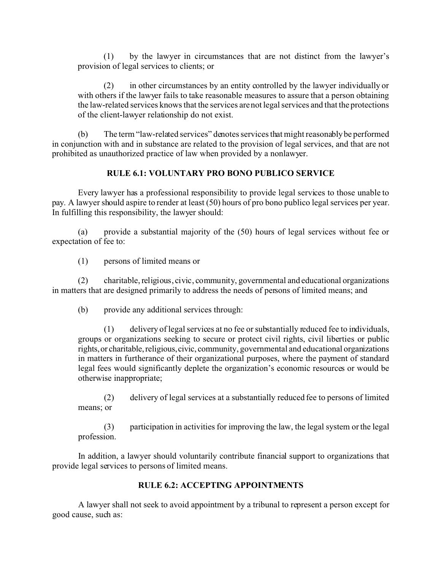(1) by the lawyer in circumstances that are not distinct from the lawyer's provision of legal services to clients; or

(2) in other circumstances by an entity controlled by the lawyer individually or with others if the lawyer fails to take reasonable measures to assure that a person obtaining the law-related services knows that the services are not legal services and that the protections of the client-lawyer relationship do not exist.

(b) The term "law-related services" denotes services that might reasonably be performed in conjunction with and in substance are related to the provision of legal services, and that are not prohibited as unauthorized practice of law when provided by a nonlawyer.

# **RULE 6.1: VOLUNTARY PRO BONO PUBLICO SERVICE**

Every lawyer has a professional responsibility to provide legal services to those unable to pay. A lawyer should aspire to render at least (50) hours of pro bono publico legal services per year. In fulfilling this responsibility, the lawyer should:

(a) provide a substantial majority of the (50) hours of legal services without fee or expectation of fee to:

(1) persons of limited means or

(2) charitable, religious, civic, community, governmental and educational organizations in matters that are designed primarily to address the needs of persons of limited means; and

(b) provide any additional services through:

(1) delivery of legal services at no fee or substantially reduced fee to individuals, groups or organizations seeking to secure or protect civil rights, civil liberties or public rights, or charitable, religious, civic, community, governmental and educational organizations in matters in furtherance of their organizational purposes, where the payment of standard legal fees would significantly deplete the organization's economic resources or would be otherwise inappropriate;

(2) delivery of legal services at a substantially reduced fee to persons of limited means; or

(3) participation in activities for improving the law, the legal system or the legal profession.

In addition, a lawyer should voluntarily contribute financial support to organizations that provide legal services to persons of limited means.

# **RULE 6.2: ACCEPTING APPOINTMENTS**

A lawyer shall not seek to avoid appointment by a tribunal to represent a person except for good cause, such as: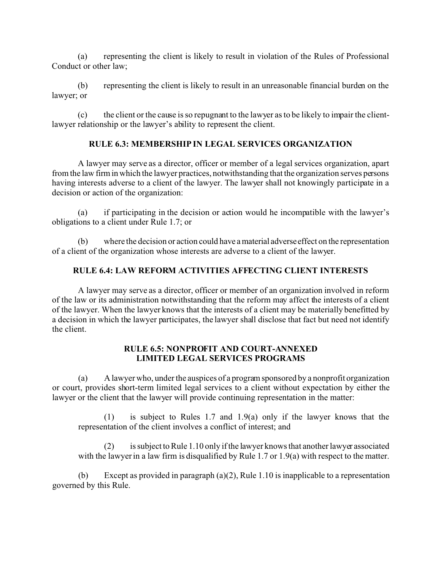(a) representing the client is likely to result in violation of the Rules of Professional Conduct or other law;

(b) representing the client is likely to result in an unreasonable financial burden on the lawyer; or

(c) the client or the cause is so repugnant to the lawyer as to be likely to impair the clientlawyer relationship or the lawyer's ability to represent the client.

# **RULE 6.3: MEMBERSHIP IN LEGAL SERVICES ORGANIZATION**

A lawyer may serve as a director, officer or member of a legal services organization, apart from the law firm in which the lawyer practices, notwithstanding that the organization serves persons having interests adverse to a client of the lawyer. The lawyer shall not knowingly participate in a decision or action of the organization:

(a) if participating in the decision or action would he incompatible with the lawyer's obligations to a client under Rule 1.7; or

(b) where the decision or action could have amaterial adverseeffect on the representation of a client of the organization whose interests are adverse to a client of the lawyer.

### **RULE 6.4: LAW REFORM ACTIVITIES AFFECTING CLIENT INTERESTS**

A lawyer may serve as a director, officer or member of an organization involved in reform of the law or its administration notwithstanding that the reform may affect the interests of a client of the lawyer. When the lawyer knows that the interests of a client may be materially benefitted by a decision in which the lawyer participates, the lawyer shall disclose that fact but need not identify the client.

### **RULE 6.5: NONPROFIT AND COURT-ANNEXED LIMITED LEGAL SERVICES PROGRAMS**

(a) A lawyer who, under the auspices of a program sponsored by a nonprofit organization or court, provides short-term limited legal services to a client without expectation by either the lawyer or the client that the lawyer will provide continuing representation in the matter:

(1) is subject to Rules 1.7 and 1.9(a) only if the lawyer knows that the representation of the client involves a conflict of interest; and

(2) is subject to Rule 1.10 only if the lawyer knows that another lawyer associated with the lawyer in a law firm is disqualified by Rule 1.7 or 1.9(a) with respect to the matter.

(b) Except as provided in paragraph (a)(2), Rule 1.10 is inapplicable to a representation governed by this Rule.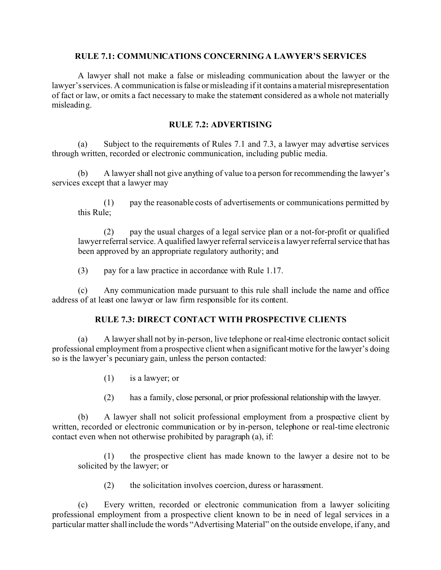#### **RULE 7.1: COMMUNICATIONS CONCERNING A LAWYER'S SERVICES**

A lawyer shall not make a false or misleading communication about the lawyer or the lawyer's services. A communication is false or misleading if it contains a material misrepresentation of fact or law, or omits a fact necessary to make the statement considered as a whole not materially misleading.

#### **RULE 7.2: ADVERTISING**

(a) Subject to the requirements of Rules 7.1 and 7.3, a lawyer may advertise services through written, recorded or electronic communication, including public media.

(b) A lawyer shall not give anything of value to a person for recommending the lawyer's services except that a lawyer may

(1) pay the reasonable costs of advertisements or communications permitted by this Rule;

(2) pay the usual charges of a legal service plan or a not-for-profit or qualified lawyer referral service. A qualified lawyer referral service is a lawyer referral service that has been approved by an appropriate regulatory authority; and

(3) pay for a law practice in accordance with Rule 1.17.

(c) Any communication made pursuant to this rule shall include the name and office address of at least one lawyer or law firm responsible for its content.

#### **RULE 7.3: DIRECT CONTACT WITH PROSPECTIVE CLIENTS**

(a) A lawyer shall not by in-person, live telephone or real-time electronic contact solicit professional employment from a prospective client when a significant motive for the lawyer's doing so is the lawyer's pecuniary gain, unless the person contacted:

- (1) is a lawyer; or
- (2) has a family, close personal, or prior professional relationship with the lawyer.

(b) A lawyer shall not solicit professional employment from a prospective client by written, recorded or electronic communication or by in-person, telephone or real-time electronic contact even when not otherwise prohibited by paragraph (a), if:

(1) the prospective client has made known to the lawyer a desire not to be solicited by the lawyer; or

(2) the solicitation involves coercion, duress or harassment.

(c) Every written, recorded or electronic communication from a lawyer soliciting professional employment from a prospective client known to be in need of legal services in a particular matter shall include the words "Advertising Material" on the outside envelope, if any, and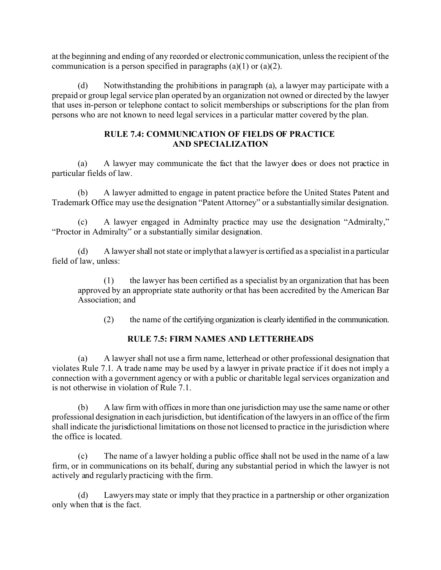at the beginning and ending of any recorded or electronic communication, unless the recipient of the communication is a person specified in paragraphs  $(a)(1)$  or  $(a)(2)$ .

(d) Notwithstanding the prohibitions in paragraph (a), a lawyer may participate with a prepaid or group legal service plan operated by an organization not owned or directed by the lawyer that uses in-person or telephone contact to solicit memberships or subscriptions for the plan from persons who are not known to need legal services in a particular matter covered by the plan.

### **RULE 7.4: COMMUNICATION OF FIELDS OF PRACTICE AND SPECIALIZATION**

(a) A lawyer may communicate the fact that the lawyer does or does not practice in particular fields of law.

(b) A lawyer admitted to engage in patent practice before the United States Patent and Trademark Office may use the designation "Patent Attorney" or a substantially similar designation.

(c) A lawyer engaged in Admiralty practice may use the designation "Admiralty," "Proctor in Admiralty" or a substantially similar designation.

(d) A lawyer shall not state or imply that a lawyer is certified as a specialist in a particular field of law, unless:

(1) the lawyer has been certified as a specialist by an organization that has been approved by an appropriate state authority or that has been accredited by the American Bar Association; and

(2) the name of the certifying organization is clearly identified in the communication.

# **RULE 7.5: FIRM NAMES AND LETTERHEADS**

(a) A lawyer shall not use a firm name, letterhead or other professional designation that violates Rule 7.1. A trade name may be used by a lawyer in private practice if it does not imply a connection with a government agency or with a public or charitable legal services organization and is not otherwise in violation of Rule 7.1.

(b) A law firm with offices in more than one jurisdiction may use the same name or other professional designation in each jurisdiction, but identification of the lawyers in an office of the firm shall indicate the jurisdictional limitations on those not licensed to practice in the jurisdiction where the office is located.

(c) The name of a lawyer holding a public office shall not be used in the name of a law firm, or in communications on its behalf, during any substantial period in which the lawyer is not actively and regularly practicing with the firm.

(d) Lawyers may state or imply that they practice in a partnership or other organization only when that is the fact.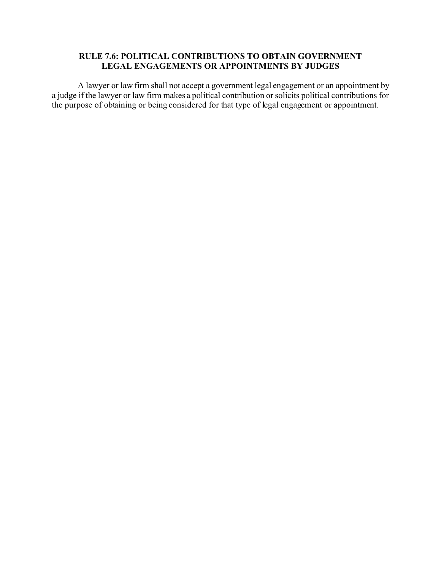# **RULE 7.6: POLITICAL CONTRIBUTIONS TO OBTAIN GOVERNMENT LEGAL ENGAGEMENTS OR APPOINTMENTS BY JUDGES**

A lawyer or law firm shall not accept a government legal engagement or an appointment by a judge if the lawyer or law firm makes a political contribution or solicits political contributions for the purpose of obtaining or being considered for that type of legal engagement or appointment.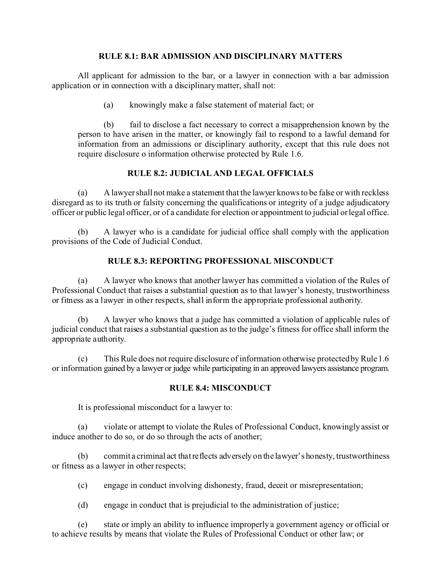#### **RULE 8.1: BAR ADMISSION AND DISCIPLINARY MATTERS**

All applicant for admission to the bar, or a lawyer in connection with a bar admission application or in connection with a disciplinary matter, shall not:

(a) knowingly make a false statement of material fact; or

(b) fail to disclose a fact necessary to correct a misapprehension known by the person to have arisen in the matter, or knowingly fail to respond to a lawful demand for information from an admissions or disciplinary authority, except that this rule does not require disclosure o information otherwise protected by Rule 1.6.

# **RULE 8.2: JUDICIAL AND LEGAL OFFICIALS**

(a) A lawyer shall not make a statement that the lawyer knows to be false or with reckless disregard as to its truth or falsity concerning the qualifications or integrity of a judge adjudicatory officer or public legal officer, or of a candidate for election or appointment to judicial or legal office.

(b) A lawyer who is a candidate for judicial office shall comply with the application provisions of the Code of Judicial Conduct.

# **RULE 8.3: REPORTING PROFESSIONAL MISCONDUCT**

(a) A lawyer who knows that another lawyer has committed a violation of the Rules of Professional Conduct that raises a substantial question as to that lawyer's honesty, trustworthiness or fitness as a lawyer in other respects, shall inform the appropriate professional authority.

(b) A lawyer who knows that a judge has committed a violation of applicable rules of judicial conduct that raises a substantial question as to the judge's fitness for office shall inform the appropriate authority.

(c) This Rule does not require disclosure of information otherwise protected by Rule 1.6 or information gained by a lawyer or judge while participating in an approved lawyers assistance program.

#### **RULE 8.4: MISCONDUCT**

It is professional misconduct for a lawyer to:

(a) violate or attempt to violate the Rules of Professional Conduct, knowingly assist or induce another to do so, or do so through the acts of another;

(b) commit a criminal act that reflects adversely on the lawyer's honesty, trustworthiness or fitness as a lawyer in other respects;

(c) engage in conduct involving dishonesty, fraud, deceit or misrepresentation;

(d) engage in conduct that is prejudicial to the administration of justice;

(e) state or imply an ability to influence improperly a government agency or official or to achieve results by means that violate the Rules of Professional Conduct or other law; or